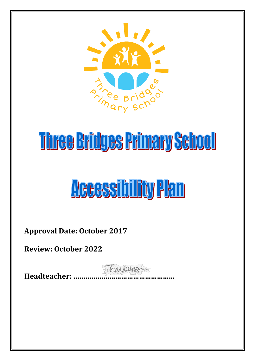

# Three Bridges Primary School

## **ACCESSIbility Plan**

**Approval Date: October 2017**

**Review: October 2022**

TEmperson **Headteacher: ……………………………………………**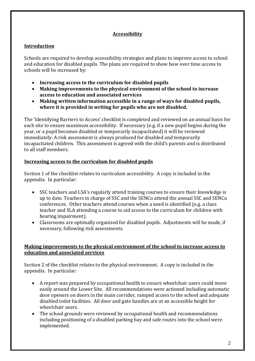#### **Accessibility**

#### **Introduction**

Schools are required to develop accessibility strategies and plans to improve access to school and education for disabled pupils. The plans are required to show how over time access to schools will be increased by:

- **Increasing access to the curriculum for disabled pupils**
- **Making improvements to the physical environment of the school to increase access to education and associated services**
- **Making written information accessible in a range of ways for disabled pupils, where it is provided in writing for pupils who are not disabled.**

The 'Identifying Barriers to Access' checklist is completed and reviewed on an annual basis for each site to ensure maximum accessibility. If necessary (e.g. if a new pupil begins during the year, or a pupil becomes disabled or temporarily incapacitated) it will be reviewed immediately. A risk assessment is always produced for disabled and temporarily incapacitated children. This assessment is agreed with the child's parents and is distributed to all staff members.

#### **Increasing access to the curriculum for disabled pupils**

Section 1 of the checklist relates to curriculum accessibility. A copy is included in the appendix. In particular:

- SSC teachers and LSA's regularly attend training courses to ensure their knowledge is up to date. Teachers in charge of SSC and the SENCo attend the annual SSC and SENCo conferences. Other teachers attend courses when a need is identified (e.g. a class teacher and SLA attending a course to aid access to the curriculum for children with hearing impairment).
- Classrooms are optimally organised for disabled pupils. Adjustments will be made, if necessary, following risk assessments.

#### **Making improvements to the physical environment of the school to increase access to education and associated services**

Section 2 of the checklist relates to the physical environment. A copy is included in the appendix. In particular:

- A report was prepared by occupational health to ensure wheelchair users could move easily around the Lower Site. All recommendations were actioned including automatic door openers on doors in the main corridor, ramped access to the school and adequate disabled toilet facilities. All door and gate handles are at an accessible height for wheelchair users.
- The school grounds were reviewed by occupational health and recommendations including positioning of a disabled parking bay and safe routes into the school were implemented.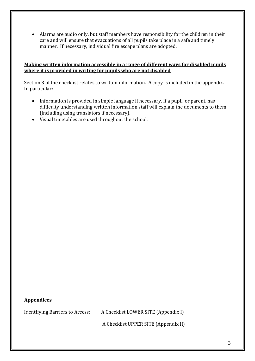Alarms are audio only, but staff members have responsibility for the children in their care and will ensure that evacuations of all pupils take place in a safe and timely manner. If necessary, individual fire escape plans are adopted.

#### **Making written information accessible in a range of different ways for disabled pupils where it is provided in writing for pupils who are not disabled**

Section 3 of the checklist relates to written information. A copy is included in the appendix. In particular:

- Information is provided in simple language if necessary. If a pupil, or parent, has difficulty understanding written information staff will explain the documents to them (including using translators if necessary).
- Visual timetables are used throughout the school.

#### **Appendices**

Identifying Barriers to Access: A Checklist LOWER SITE (Appendix I)

A Checklist UPPER SITE (Appendix II)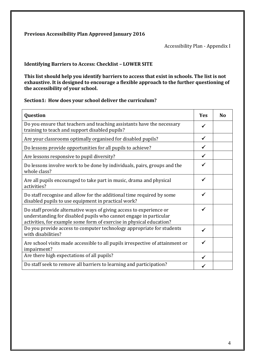#### **Previous Accessibility Plan Approved January 2016**

Accessibility Plan - Appendix I

#### **Identifying Barriers to Access: Checklist – LOWER SITE**

**This list should help you identify barriers to access that exist in schools. The list is not exhaustive. It is designed to encourage a flexible approach to the further questioning of the accessibility of your school.**

#### **Section1: How does your school deliver the curriculum?**

| Question                                                                                                                                                                                                         | Yes          | N <sub>o</sub> |
|------------------------------------------------------------------------------------------------------------------------------------------------------------------------------------------------------------------|--------------|----------------|
| Do you ensure that teachers and teaching assistants have the necessary<br>training to teach and support disabled pupils?                                                                                         | ✓            |                |
| Are your classrooms optimally organised for disabled pupils?                                                                                                                                                     | $\checkmark$ |                |
| Do lessons provide opportunities for all pupils to achieve?                                                                                                                                                      | ✓            |                |
| Are lessons responsive to pupil diversity?                                                                                                                                                                       | ✓            |                |
| Do lessons involve work to be done by individuals, pairs, groups and the<br>whole class?                                                                                                                         | $\checkmark$ |                |
| Are all pupils encouraged to take part in music, drama and physical<br>activities?                                                                                                                               | $\checkmark$ |                |
| Do staff recognise and allow for the additional time required by some<br>disabled pupils to use equipment in practical work?                                                                                     | $\checkmark$ |                |
| Do staff provide alternative ways of giving access to experience or<br>understanding for disabled pupils who cannot engage in particular<br>activities, for example some form of exercise in physical education? | ✓            |                |
| Do you provide access to computer technology appropriate for students<br>with disabilities?                                                                                                                      | ✓            |                |
| Are school visits made accessible to all pupils irrespective of attainment or<br>impairment?                                                                                                                     | ✓            |                |
| Are there high expectations of all pupils?                                                                                                                                                                       | ✓            |                |
| Do staff seek to remove all barriers to learning and participation?                                                                                                                                              |              |                |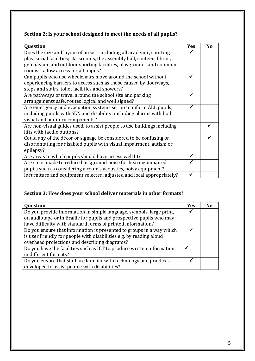## **Section 2: Is your school designed to meet the needs of all pupils?**

| Question                                                                  | <b>Yes</b> | N <sub>o</sub> |
|---------------------------------------------------------------------------|------------|----------------|
| Does the size and layout of areas - including all academic, sporting,     |            |                |
| play, social facilities; classrooms, the assembly hall, canteen, library, |            |                |
| gymnasium and outdoor sporting facilities, playgrounds and common         |            |                |
| rooms - allow access for all pupils?                                      |            |                |
| Can pupils who use wheelchairs move around the school without             |            |                |
| experiencing barriers to access such as those caused by doorways,         |            |                |
| steps and stairs, toilet facilities and showers?                          |            |                |
| Are pathways of travel around the school site and parking                 |            |                |
| arrangements safe, routes logical and well signed?                        |            |                |
| Are emergency and evacuation systems set up to inform ALL pupils,         |            |                |
| including pupils with SEN and disability; including alarms with both      |            |                |
| visual and auditory components?                                           |            |                |
| Are non-visual guides used, to assist people to use buildings including   |            |                |
| lifts with tactile buttons?                                               |            |                |
| Could any of the décor or signage be considered to be confusing or        |            |                |
| disorientating for disabled pupils with visual impairment, autism or      |            |                |
| epilepsy?                                                                 |            |                |
| Are areas to which pupils should have access well lit?                    |            |                |
| Are steps made to reduce background noise for hearing impaired            |            |                |
| pupils such as considering a room's acoustics, noisy equipment?           |            |                |
| Is furniture and equipment selected, adjusted and local appropriately?    |            |                |

## **Section 3: How does your school deliver materials in other formats?**

| <b>Question</b>                                                       | <b>Yes</b> | Nο |
|-----------------------------------------------------------------------|------------|----|
| Do you provide information in simple language, symbols, large print,  |            |    |
| on audiotape or in Braille for pupils and prospective pupils who may  |            |    |
| have difficulty with standard forms of printed information?           |            |    |
| Do you ensure that information is presented to groups in a way which  |            |    |
| is user friendly for people with disabilities e.g. by reading aloud   |            |    |
| overhead projections and describing diagrams?                         |            |    |
| Do you have the facilities such as ICT to produce written information |            |    |
| in different formats?                                                 |            |    |
| Do you ensure that staff are familiar with technology and practices   |            |    |
| developed to assist people with disabilities?                         |            |    |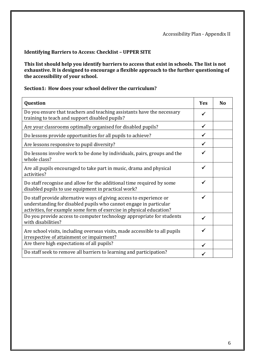#### **Identifying Barriers to Access: Checklist – UPPER SITE**

**This list should help you identify barriers to access that exist in schools. The list is not exhaustive. It is designed to encourage a flexible approach to the further questioning of the accessibility of your school.**

#### **Section1: How does your school deliver the curriculum?**

| Question                                                                                                                                                                                                         | <b>Yes</b>   | <b>No</b> |
|------------------------------------------------------------------------------------------------------------------------------------------------------------------------------------------------------------------|--------------|-----------|
| Do you ensure that teachers and teaching assistants have the necessary<br>training to teach and support disabled pupils?                                                                                         | ✓            |           |
| Are your classrooms optimally organised for disabled pupils?                                                                                                                                                     | ✓            |           |
| Do lessons provide opportunities for all pupils to achieve?                                                                                                                                                      |              |           |
| Are lessons responsive to pupil diversity?                                                                                                                                                                       | ✓            |           |
| Do lessons involve work to be done by individuals, pairs, groups and the<br>whole class?                                                                                                                         | ✓            |           |
| Are all pupils encouraged to take part in music, drama and physical<br>activities?                                                                                                                               | $\checkmark$ |           |
| Do staff recognise and allow for the additional time required by some<br>disabled pupils to use equipment in practical work?                                                                                     | ✓            |           |
| Do staff provide alternative ways of giving access to experience or<br>understanding for disabled pupils who cannot engage in particular<br>activities, for example some form of exercise in physical education? | ✓            |           |
| Do you provide access to computer technology appropriate for students<br>with disabilities?                                                                                                                      | ✓            |           |
| Are school visits, including overseas visits, made accessible to all pupils<br>irrespective of attainment or impairment?                                                                                         | ✔            |           |
| Are there high expectations of all pupils?                                                                                                                                                                       |              |           |
| Do staff seek to remove all barriers to learning and participation?                                                                                                                                              |              |           |